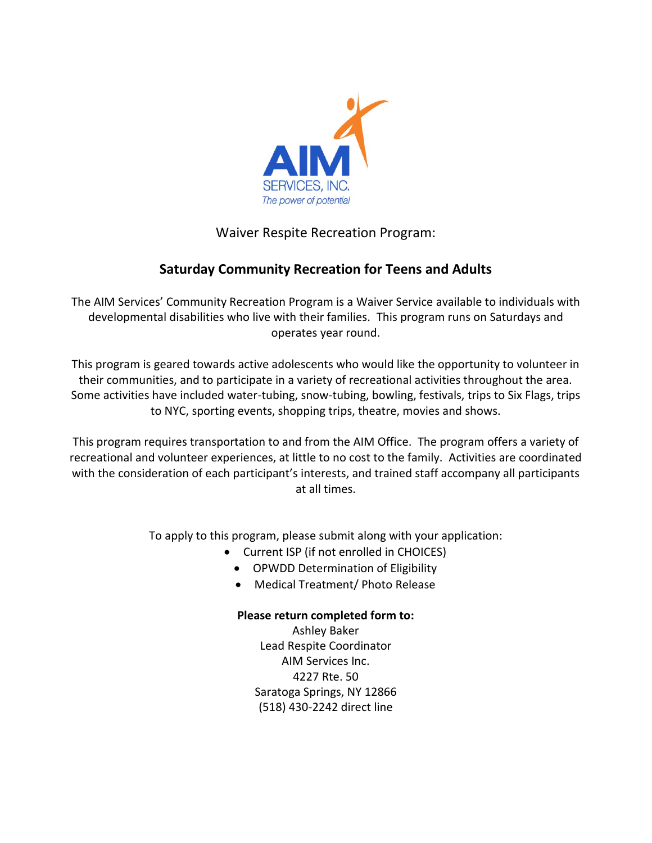

#### Waiver Respite Recreation Program:

#### **Saturday Community Recreation for Teens and Adults**

The AIM Services' Community Recreation Program is a Waiver Service available to individuals with developmental disabilities who live with their families. This program runs on Saturdays and operates year round.

This program is geared towards active adolescents who would like the opportunity to volunteer in their communities, and to participate in a variety of recreational activities throughout the area. Some activities have included water-tubing, snow-tubing, bowling, festivals, trips to Six Flags, trips to NYC, sporting events, shopping trips, theatre, movies and shows.

This program requires transportation to and from the AIM Office. The program offers a variety of recreational and volunteer experiences, at little to no cost to the family. Activities are coordinated with the consideration of each participant's interests, and trained staff accompany all participants at all times.

To apply to this program, please submit along with your application:

- Current ISP (if not enrolled in CHOICES)
	- OPWDD Determination of Eligibility
	- Medical Treatment/ Photo Release

#### **Please return completed form to:**

Ashley Baker Lead Respite Coordinator AIM Services Inc. 4227 Rte. 50 Saratoga Springs, NY 12866 (518) 430-2242 direct line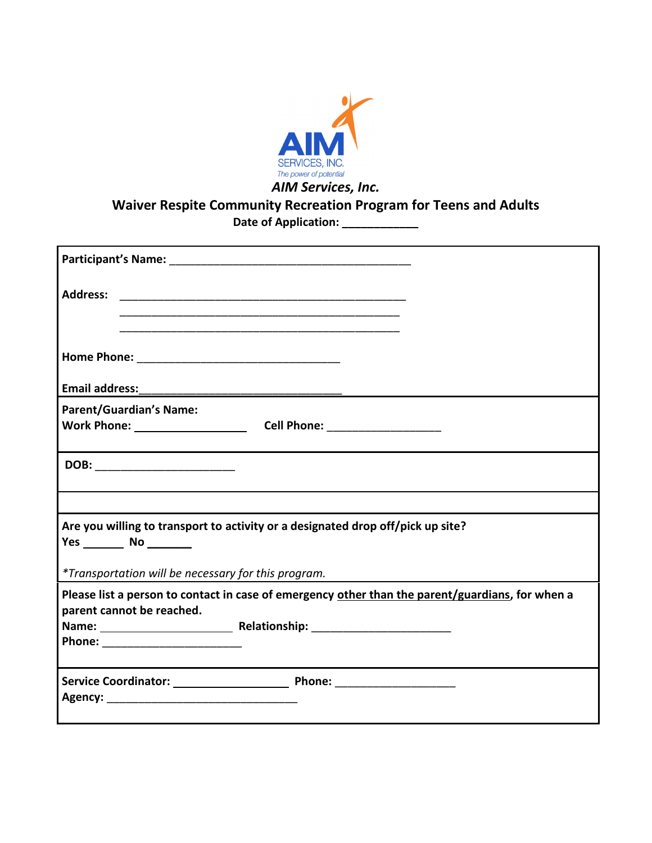

### **Waiver Respite Community Recreation Program for Teens and Adults Date of Application: \_\_\_\_\_\_\_\_\_\_\_\_**

| <b>Address:</b><br><u> 1980 - Johann Barn, margaret eta biztanleria (h. 1980).</u>                                                                   |  |  |  |
|------------------------------------------------------------------------------------------------------------------------------------------------------|--|--|--|
|                                                                                                                                                      |  |  |  |
|                                                                                                                                                      |  |  |  |
| <b>Parent/Guardian's Name:</b>                                                                                                                       |  |  |  |
| Work Phone: University Phone Service Contract Control Contract Contract Contract Contract Contract Contract Co<br>Cell Phone: ______________________ |  |  |  |
| DOB: __________________________                                                                                                                      |  |  |  |
|                                                                                                                                                      |  |  |  |
| Are you willing to transport to activity or a designated drop off/pick up site?<br>Yes ____________ No ___________                                   |  |  |  |
| *Transportation will be necessary for this program.                                                                                                  |  |  |  |
| Please list a person to contact in case of emergency other than the parent/guardians, for when a<br>parent cannot be reached.                        |  |  |  |
|                                                                                                                                                      |  |  |  |
| Phone: ________________________                                                                                                                      |  |  |  |
|                                                                                                                                                      |  |  |  |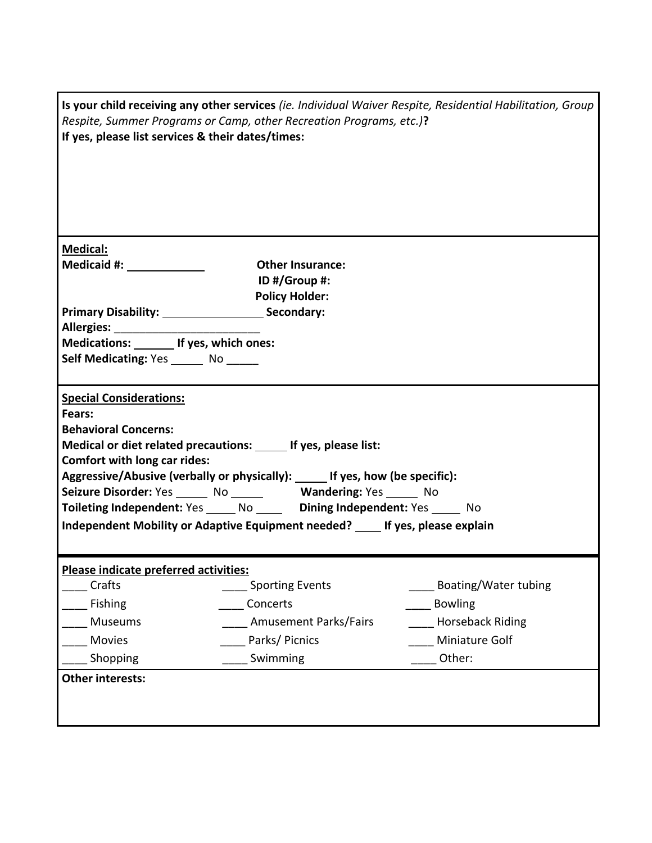| Is your child receiving any other services (ie. Individual Waiver Respite, Residential Habilitation, Group<br>Respite, Summer Programs or Camp, other Recreation Programs, etc.)?<br>If yes, please list services & their dates/times: |                              |                         |  |
|----------------------------------------------------------------------------------------------------------------------------------------------------------------------------------------------------------------------------------------|------------------------------|-------------------------|--|
|                                                                                                                                                                                                                                        |                              |                         |  |
|                                                                                                                                                                                                                                        |                              |                         |  |
|                                                                                                                                                                                                                                        |                              |                         |  |
|                                                                                                                                                                                                                                        |                              |                         |  |
| <b>Medical:</b>                                                                                                                                                                                                                        |                              |                         |  |
| Medicaid #: _____________                                                                                                                                                                                                              | <b>Other Insurance:</b>      |                         |  |
|                                                                                                                                                                                                                                        | ID #/Group #:                |                         |  |
| <b>Policy Holder:</b><br>Primary Disability: Secondary:                                                                                                                                                                                |                              |                         |  |
|                                                                                                                                                                                                                                        |                              |                         |  |
| Medications: ________ If yes, which ones:                                                                                                                                                                                              |                              |                         |  |
| Self Medicating: Yes _______ No ______                                                                                                                                                                                                 |                              |                         |  |
|                                                                                                                                                                                                                                        |                              |                         |  |
| <b>Special Considerations:</b>                                                                                                                                                                                                         |                              |                         |  |
| Fears:                                                                                                                                                                                                                                 |                              |                         |  |
| <b>Behavioral Concerns:</b>                                                                                                                                                                                                            |                              |                         |  |
| Medical or diet related precautions: ______ If yes, please list:<br><b>Comfort with long car rides:</b>                                                                                                                                |                              |                         |  |
| Aggressive/Abusive (verbally or physically): _____ If yes, how (be specific):                                                                                                                                                          |                              |                         |  |
| Seizure Disorder: Yes ______ No ______ Wandering: Yes _____ No                                                                                                                                                                         |                              |                         |  |
| Toileting Independent: Yes _____ No _____ Dining Independent: Yes _____ No                                                                                                                                                             |                              |                         |  |
| Independent Mobility or Adaptive Equipment needed? If yes, please explain                                                                                                                                                              |                              |                         |  |
|                                                                                                                                                                                                                                        |                              |                         |  |
| Please indicate preferred activities:                                                                                                                                                                                                  |                              |                         |  |
| Crafts                                                                                                                                                                                                                                 | <b>Sporting Events</b>       | Boating/Water tubing    |  |
| Fishing                                                                                                                                                                                                                                | Concerts                     | <b>Bowling</b>          |  |
| Museums                                                                                                                                                                                                                                | <b>Amusement Parks/Fairs</b> | <b>Horseback Riding</b> |  |
| Movies                                                                                                                                                                                                                                 | Parks/Picnics                | Miniature Golf          |  |
| Shopping                                                                                                                                                                                                                               | Swimming                     | Other:                  |  |
| <b>Other interests:</b>                                                                                                                                                                                                                |                              |                         |  |
|                                                                                                                                                                                                                                        |                              |                         |  |
|                                                                                                                                                                                                                                        |                              |                         |  |
|                                                                                                                                                                                                                                        |                              |                         |  |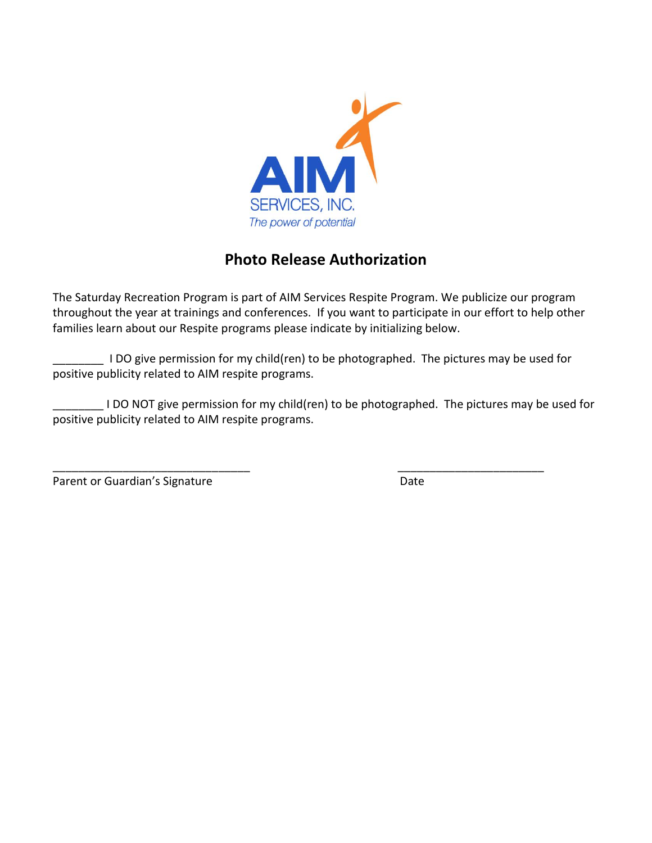

## **Photo Release Authorization**

The Saturday Recreation Program is part of AIM Services Respite Program. We publicize our program throughout the year at trainings and conferences. If you want to participate in our effort to help other families learn about our Respite programs please indicate by initializing below.

\_\_\_\_\_\_\_\_ I DO give permission for my child(ren) to be photographed. The pictures may be used for positive publicity related to AIM respite programs.

\_\_\_\_\_\_\_\_ I DO NOT give permission for my child(ren) to be photographed. The pictures may be used for positive publicity related to AIM respite programs.

\_\_\_\_\_\_\_\_\_\_\_\_\_\_\_\_\_\_\_\_\_\_\_\_\_\_\_\_\_\_\_ \_\_\_\_\_\_\_\_\_\_\_\_\_\_\_\_\_\_\_\_\_\_\_ Parent or Guardian's Signature Date Date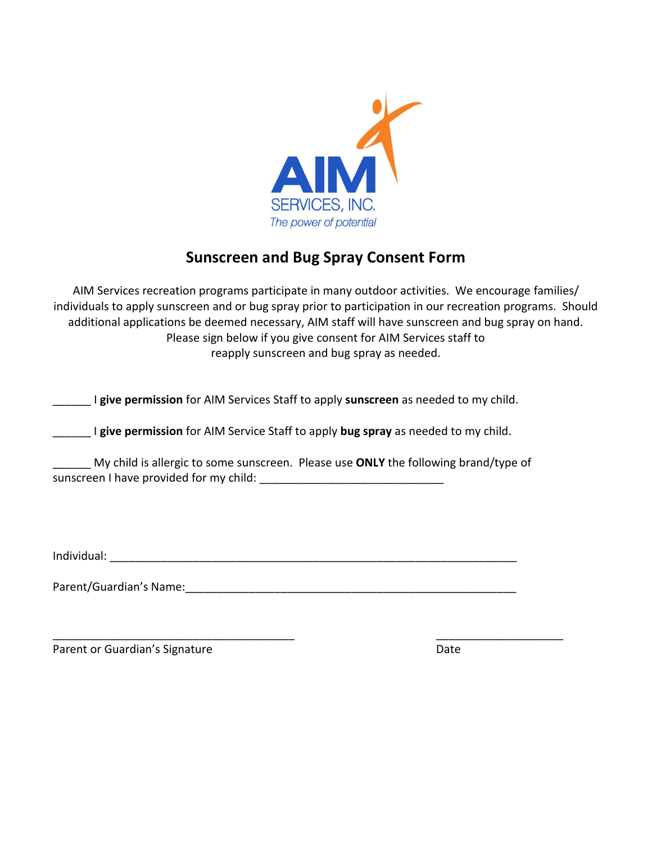

## **Sunscreen and Bug Spray Consent Form**

AIM Services recreation programs participate in many outdoor activities. We encourage families/ individuals to apply sunscreen and or bug spray prior to participation in our recreation programs. Should additional applications be deemed necessary, AIM staff will have sunscreen and bug spray on hand. Please sign below if you give consent for AIM Services staff to reapply sunscreen and bug spray as needed.

I **give permission** for AIM Services Staff to apply **sunscreen** as needed to my child. \_\_\_\_\_\_

**I give permission** for AIM Service Staff to apply **bug spray** as needed to my child.

My child is allergic to some sunscreen. Please use **ONLY** the following brand/type of \_\_\_\_\_\_ sunscreen I have provided for my child: \_\_\_\_\_\_\_\_\_\_\_\_\_\_\_\_\_\_\_\_\_\_\_\_\_\_\_\_\_

\_\_\_\_\_\_\_\_\_\_\_\_\_\_\_\_\_\_\_\_\_\_\_\_\_\_\_\_\_\_\_\_\_\_\_\_\_\_ \_\_\_\_\_\_\_\_\_\_\_\_\_\_\_\_\_\_\_\_

Individual: \_\_\_\_\_\_\_\_\_\_\_\_\_\_\_\_\_\_\_\_\_\_\_\_\_\_\_\_\_\_\_\_\_\_\_\_\_\_\_\_\_\_\_\_\_\_\_\_\_\_\_\_\_\_\_\_\_\_\_\_\_\_\_\_

Parent/Guardian's Name: \_\_\_\_\_\_\_\_\_\_\_\_\_\_\_\_\_\_\_\_\_\_\_\_\_\_\_\_\_\_\_\_\_\_\_\_\_\_\_\_\_\_\_\_\_\_\_\_\_\_\_\_

Parent or Guardian's Signature Date Date